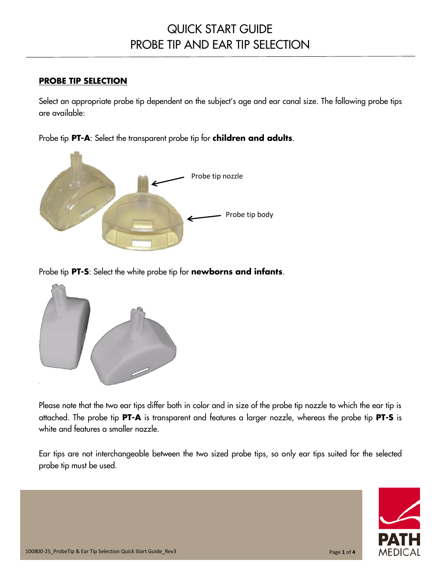## QUICK START GUIDE PROBE TIP AND EAR TIP SELECTION

### **PROBE TIP SELECTION**

Select an appropriate probe tip dependent on the subject's age and ear canal size. The following probe tips are available:

Probe tip **PT-A**: Select the transparent probe tip for **children and adults**.



Probe tip **PT-S**: Select the white probe tip for **newborns and infants**.



Please note that the two ear tips differ both in color and in size of the probe tip nozzle to which the ear tip is attached. The probe tip **PT-A** is transparent and features a larger nozzle, whereas the probe tip **PT-S** is white and features a smaller nozzle.

Ear tips are not interchangeable between the two sized probe tips, so only ear tips suited for the selected probe tip must be used.

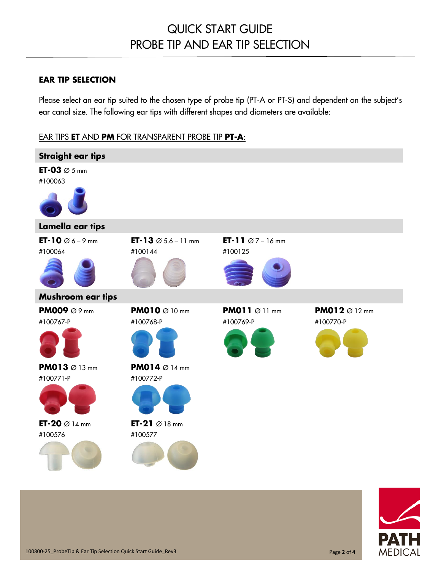### **EAR TIP SELECTION**

Please select an ear tip suited to the chosen type of probe tip (PT-A or PT-S) and dependent on the subject's ear canal size. The following ear tips with different shapes and diameters are available:

### EAR TIPS **ET** AND **PM** FOR TRANSPARENT PROBE TIP **PT-A**:



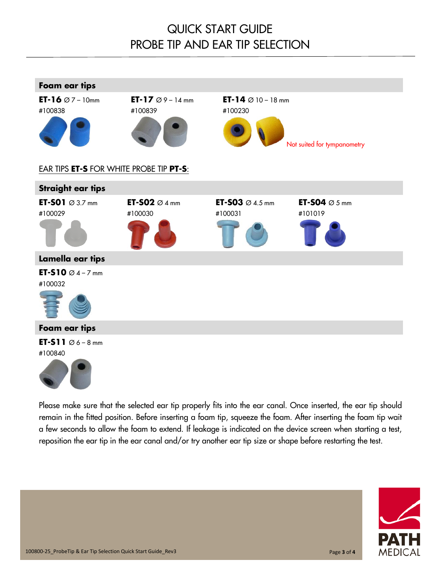# QUICK START GUIDE PROBE TIP AND EAR TIP SELECTION



Please make sure that the selected ear tip properly fits into the ear canal. Once inserted, the ear tip should remain in the fitted position. Before inserting a foam tip, squeeze the foam. After inserting the foam tip wait a few seconds to allow the foam to extend. If leakage is indicated on the device screen when starting a test, reposition the ear tip in the ear canal and/or try another ear tip size or shape before restarting the test.